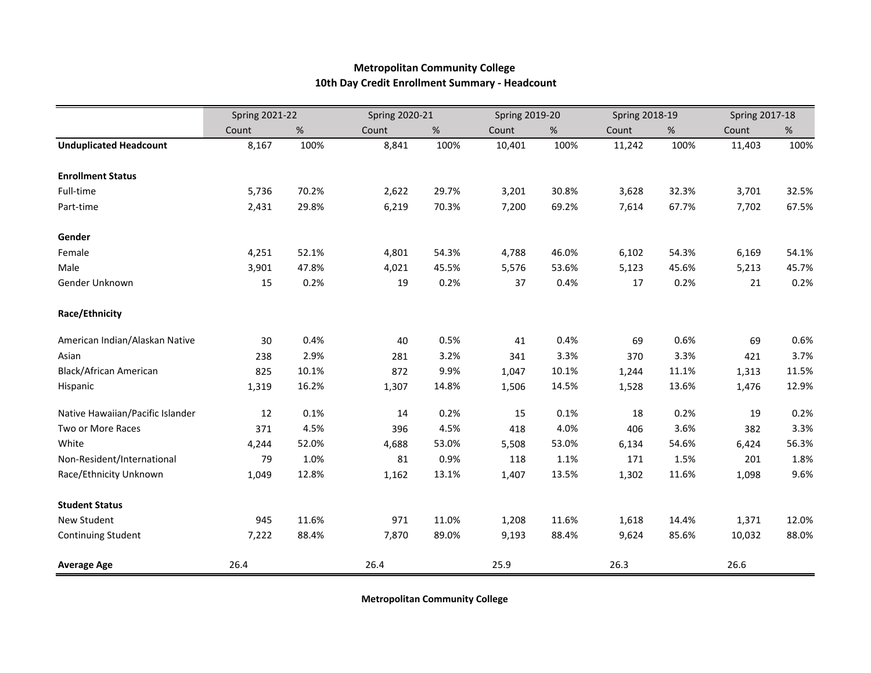## **Metropolitan Community College 10th Day Credit Enrollment Summary - Headcount**

|                                  | <b>Spring 2021-22</b> |       |       | <b>Spring 2020-21</b> |        | <b>Spring 2019-20</b> |        | <b>Spring 2018-19</b> |        | <b>Spring 2017-18</b> |  |
|----------------------------------|-----------------------|-------|-------|-----------------------|--------|-----------------------|--------|-----------------------|--------|-----------------------|--|
|                                  | Count                 | $\%$  | Count | $\%$                  | Count  | %                     | Count  | $\%$                  | Count  | %                     |  |
| <b>Unduplicated Headcount</b>    | 8,167                 | 100%  | 8,841 | 100%                  | 10,401 | 100%                  | 11,242 | 100%                  | 11,403 | 100%                  |  |
| <b>Enrollment Status</b>         |                       |       |       |                       |        |                       |        |                       |        |                       |  |
| Full-time                        | 5,736                 | 70.2% | 2,622 | 29.7%                 | 3,201  | 30.8%                 | 3,628  | 32.3%                 | 3,701  | 32.5%                 |  |
| Part-time                        | 2,431                 | 29.8% | 6,219 | 70.3%                 | 7,200  | 69.2%                 | 7,614  | 67.7%                 | 7,702  | 67.5%                 |  |
| Gender                           |                       |       |       |                       |        |                       |        |                       |        |                       |  |
| Female                           | 4,251                 | 52.1% | 4,801 | 54.3%                 | 4,788  | 46.0%                 | 6,102  | 54.3%                 | 6,169  | 54.1%                 |  |
| Male                             | 3,901                 | 47.8% | 4,021 | 45.5%                 | 5,576  | 53.6%                 | 5,123  | 45.6%                 | 5,213  | 45.7%                 |  |
| Gender Unknown                   | 15                    | 0.2%  | 19    | 0.2%                  | 37     | 0.4%                  | 17     | 0.2%                  | 21     | 0.2%                  |  |
| Race/Ethnicity                   |                       |       |       |                       |        |                       |        |                       |        |                       |  |
| American Indian/Alaskan Native   | 30                    | 0.4%  | 40    | 0.5%                  | 41     | 0.4%                  | 69     | 0.6%                  | 69     | 0.6%                  |  |
| Asian                            | 238                   | 2.9%  | 281   | 3.2%                  | 341    | 3.3%                  | 370    | 3.3%                  | 421    | 3.7%                  |  |
| Black/African American           | 825                   | 10.1% | 872   | 9.9%                  | 1,047  | 10.1%                 | 1,244  | 11.1%                 | 1,313  | 11.5%                 |  |
| Hispanic                         | 1,319                 | 16.2% | 1,307 | 14.8%                 | 1,506  | 14.5%                 | 1,528  | 13.6%                 | 1,476  | 12.9%                 |  |
| Native Hawaiian/Pacific Islander | 12                    | 0.1%  | 14    | 0.2%                  | 15     | 0.1%                  | 18     | 0.2%                  | 19     | 0.2%                  |  |
| Two or More Races                | 371                   | 4.5%  | 396   | 4.5%                  | 418    | 4.0%                  | 406    | 3.6%                  | 382    | 3.3%                  |  |
| White                            | 4,244                 | 52.0% | 4,688 | 53.0%                 | 5,508  | 53.0%                 | 6,134  | 54.6%                 | 6,424  | 56.3%                 |  |
| Non-Resident/International       | 79                    | 1.0%  | 81    | 0.9%                  | 118    | 1.1%                  | 171    | 1.5%                  | 201    | 1.8%                  |  |
| Race/Ethnicity Unknown           | 1,049                 | 12.8% | 1,162 | 13.1%                 | 1,407  | 13.5%                 | 1,302  | 11.6%                 | 1,098  | 9.6%                  |  |
| <b>Student Status</b>            |                       |       |       |                       |        |                       |        |                       |        |                       |  |
| New Student                      | 945                   | 11.6% | 971   | 11.0%                 | 1,208  | 11.6%                 | 1,618  | 14.4%                 | 1,371  | 12.0%                 |  |
| Continuing Student               | 7,222                 | 88.4% | 7,870 | 89.0%                 | 9,193  | 88.4%                 | 9,624  | 85.6%                 | 10,032 | 88.0%                 |  |
| <b>Average Age</b>               | 26.4                  |       | 26.4  |                       | 25.9   |                       | 26.3   |                       | 26.6   |                       |  |

**Metropolitan Community College**